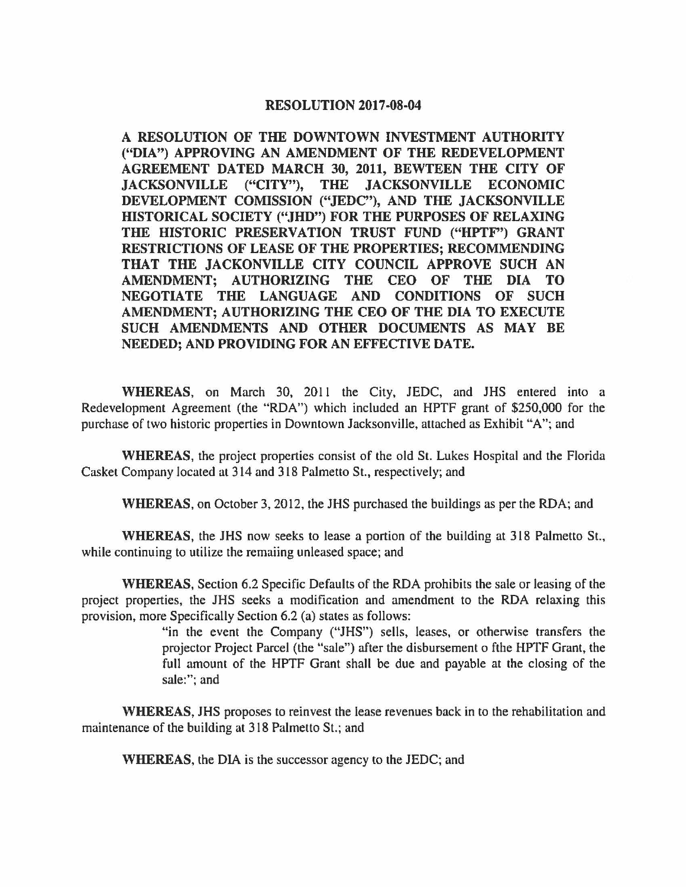## **RESOLUTION 2017-08-04**

**A RESOLUTION OF THE DOWNTOWN INVESTMENT AUTHORITY ("DIA") APPROVING AN AMENDMENT OF THE REDEVELOPMENT AGREEMENT DATED MARCH 30, 2011, BEWTEEN THE CITY OF JACKSONVILLE ("CITY"), THE JACKSONVILLE ECONOMIC DEVELOPMENT COMISSION ("JEDC"), AND THE JACKSONVILLE HISTORICAL SOCIETY ("JHD") FOR THE PURPOSES OF RELAXING THE HISTORIC PRESERVATION TRUST FUND ("HPTF') GRANT RESTRICTIONS OF LEASE OF THE PROPERTIES; RECOMMENDING THAT THE JACKONVILLE CITY COUNCIL APPROVE SUCH AN AMENDMENT; AUTHORIZING THE** CEO **OF THE DIA TO NEGOTIATE THE LANGUAGE AND CONDITIONS OF SUCH AMENDMENT; AUTHORIZING THE CEO OF THE DIA TO EXECUTE SUCH AMENDMENTS AND OTHER DOCUMENTS AS MAY BE NEEDED; AND PROVIDING FOR AN EFFECTIVE DATE.** 

**WHEREAS,** on March 30, 2011 the City, JEDC, and JHS entered into a Redevelopment Agreement (the "RDA") which included an HPTF grant of \$250,000 for the purchase of two historic properties in Downtown Jacksonville, attached as Exhibit "A"; and

**WHEREAS,** the project properties consist of the old St. Lukes Hospital and the Florida Casket Company located at 314 and 318 Palmetto St., respectively; and

**WHEREAS,** on October 3, 2012, the JHS purchased the buildings as per the RDA; and

**WHEREAS,** the JHS now seeks to lease a portion of the building at 318 Palmetto St., while continuing to utilize the remaiing unleased space; and

**WHEREAS,** Section 6.2 Specific Defaults of the RDA prohibits the sale or leasing of the project properties, the JHS seeks a modification and amendment to the RDA relaxing this provision, more Specifically Section 6.2 (a) states as follows:

> "in the event the Company ("JHS") sells, leases, or otherwise transfers the projector Project Parcel (the "sale") after the disbursement o fthe HPTF Grant, the full amount of the HPTF Grant shall be due and payable at the closing of the sale:"; and

**WHEREAS,** JHS proposes to reinvest the lease revenues back in to the rehabilitation and maintenance of the building at 318 Palmetto St.; and

**WHEREAS,** the DIA is the successor agency to the JEDC; and